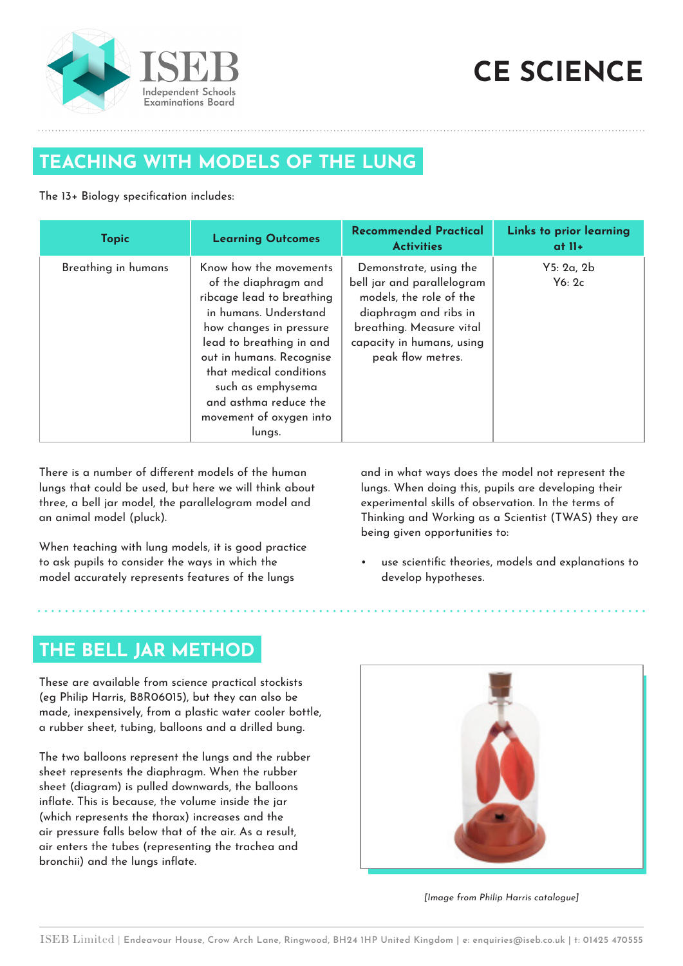

# **CE SCIENCE**

### **TEACHING WITH MODELS OF THE LUNG**

#### The 13+ Biology specification includes:

| <b>Topic</b>        | <b>Learning Outcomes</b>                                                                                                                                                                                                                                                                              | <b>Recommended Practical</b><br><b>Activities</b>                                                                                                                                      | Links to prior learning<br>at $II+$ |
|---------------------|-------------------------------------------------------------------------------------------------------------------------------------------------------------------------------------------------------------------------------------------------------------------------------------------------------|----------------------------------------------------------------------------------------------------------------------------------------------------------------------------------------|-------------------------------------|
| Breathing in humans | Know how the movements<br>of the diaphragm and<br>ribcage lead to breathing<br>in humans. Understand<br>how changes in pressure<br>lead to breathing in and<br>out in humans. Recognise<br>that medical conditions<br>such as emphysema<br>and asthma reduce the<br>movement of oxygen into<br>lungs. | Demonstrate, using the<br>bell jar and parallelogram<br>models, the role of the<br>diaphragm and ribs in<br>breathing. Measure vital<br>capacity in humans, using<br>peak flow metres. | Y5: 2a, 2b<br>$Y_6:2c$              |

There is a number of different models of the human lungs that could be used, but here we will think about three, a bell jar model, the parallelogram model and an animal model (pluck).

When teaching with lung models, it is good practice to ask pupils to consider the ways in which the model accurately represents features of the lungs

and in what ways does the model not represent the lungs. When doing this, pupils are developing their experimental skills of observation. In the terms of Thinking and Working as a Scientist (TWAS) they are being given opportunities to:

• use scientific theories, models and explanations to develop hypotheses.

#### **THE BELL JAR METHOD**

These are available from science practical stockists (eg Philip Harris, B8R06015), but they can also be made, inexpensively, from a plastic water cooler bottle, a rubber sheet, tubing, balloons and a drilled bung.

The two balloons represent the lungs and the rubber sheet represents the diaphragm. When the rubber sheet (diagram) is pulled downwards, the balloons inflate. This is because, the volume inside the jar (which represents the thorax) increases and the air pressure falls below that of the air. As a result, air enters the tubes (representing the trachea and bronchii) and the lungs inflate.



[Image from Philip Harris catalogue]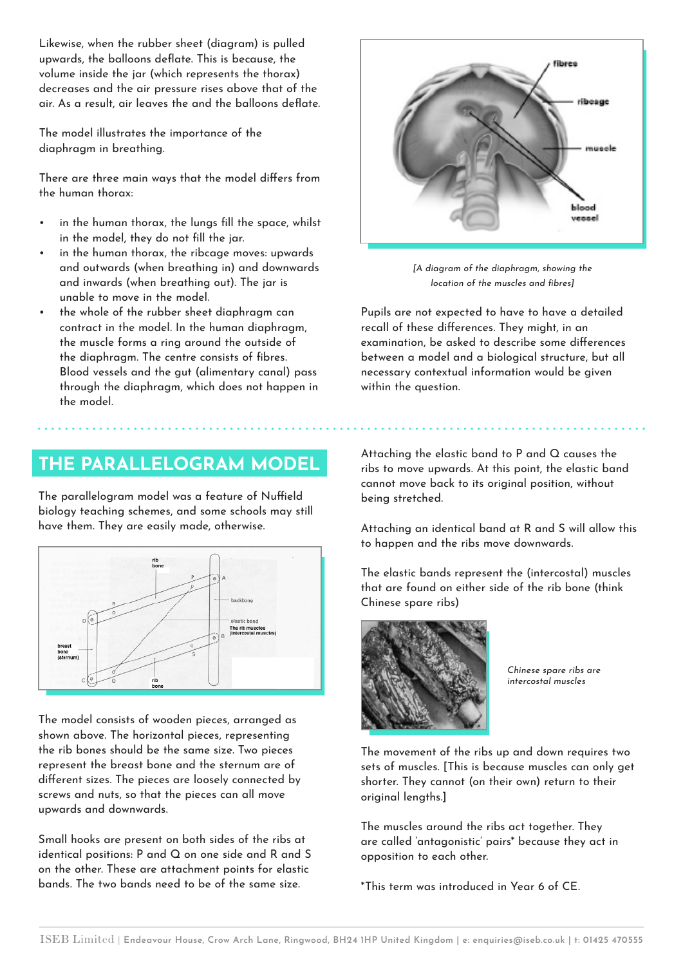Likewise, when the rubber sheet (diagram) is pulled upwards, the balloons deflate. This is because, the volume inside the jar (which represents the thorax) decreases and the air pressure rises above that of the air. As a result, air leaves the and the balloons deflate.

The model illustrates the importance of the diaphragm in breathing.

There are three main ways that the model differs from the human thorax:

- in the human thorax, the lungs fill the space, whilst in the model, they do not fill the jar.
- in the human thorax, the ribcage moves: upwards and outwards (when breathing in) and downwards and inwards (when breathing out). The jar is unable to move in the model.
- the whole of the rubber sheet diaphragm can contract in the model. In the human diaphragm, the muscle forms a ring around the outside of the diaphragm. The centre consists of fibres. Blood vessels and the gut (alimentary canal) pass through the diaphragm, which does not happen in the model.

#### **THE PARALLELOGRAM MODEL**

The parallelogram model was a feature of Nuffield biology teaching schemes, and some schools may still have them. They are easily made, otherwise.



The model consists of wooden pieces, arranged as shown above. The horizontal pieces, representing the rib bones should be the same size. Two pieces represent the breast bone and the sternum are of different sizes. The pieces are loosely connected by screws and nuts, so that the pieces can all move upwards and downwards.

Small hooks are present on both sides of the ribs at identical positions: P and Q on one side and R and S on the other. These are attachment points for elastic bands. The two bands need to be of the same size.



[A diagram of the diaphragm, showing the location of the muscles and fibres]

Pupils are not expected to have to have a detailed recall of these differences. They might, in an examination, be asked to describe some differences between a model and a biological structure, but all necessary contextual information would be given within the question.

Attaching the elastic band to P and Q causes the ribs to move upwards. At this point, the elastic band cannot move back to its original position, without being stretched.

Attaching an identical band at R and S will allow this to happen and the ribs move downwards.

The elastic bands represent the (intercostal) muscles that are found on either side of the rib bone (think Chinese spare ribs)



Chinese spare ribs are intercostal muscles

The movement of the ribs up and down requires two sets of muscles. [This is because muscles can only get shorter. They cannot (on their own) return to their original lengths.]

The muscles around the ribs act together. They are called 'antagonistic' pairs\* because they act in opposition to each other.

\*This term was introduced in Year 6 of CE.